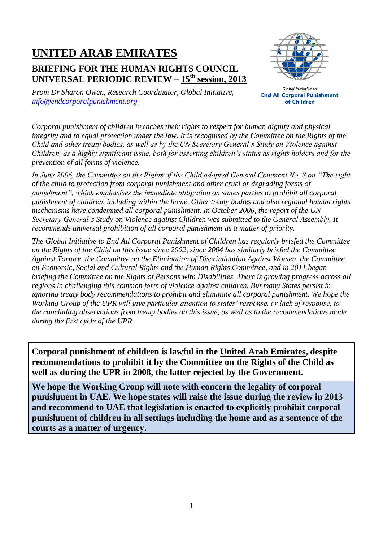# **UNITED ARAB EMIRATES**

## **BRIEFING FOR THE HUMAN RIGHTS COUNCIL UNIVERSAL PERIODIC REVIEW – 15 th session, 2013**



*From Dr Sharon Owen, Research Coordinator, Global Initiative, [info@endcorporalpunishment.org](mailto:info@endcorporalpunishment.org)*

**Global Initiative to End All Corporal Punishment** of Children

*Corporal punishment of children breaches their rights to respect for human dignity and physical integrity and to equal protection under the law. It is recognised by the Committee on the Rights of the Child and other treaty bodies, as well as by the UN Secretary General's Study on Violence against Children, as a highly significant issue, both for asserting children's status as rights holders and for the prevention of all forms of violence.*

*In June 2006, the Committee on the Rights of the Child adopted General Comment No. 8 on "The right of the child to protection from corporal punishment and other cruel or degrading forms of punishment", which emphasises the immediate obligation on states parties to prohibit all corporal punishment of children, including within the home. Other treaty bodies and also regional human rights mechanisms have condemned all corporal punishment. In October 2006, the report of the UN Secretary General's Study on Violence against Children was submitted to the General Assembly. It recommends universal prohibition of all corporal punishment as a matter of priority.*

*The Global Initiative to End All Corporal Punishment of Children has regularly briefed the Committee on the Rights of the Child on this issue since 2002, since 2004 has similarly briefed the Committee Against Torture, the Committee on the Elimination of Discrimination Against Women, the Committee on Economic, Social and Cultural Rights and the Human Rights Committee, and in 2011 began briefing the Committee on the Rights of Persons with Disabilities. There is growing progress across all regions in challenging this common form of violence against children. But many States persist in ignoring treaty body recommendations to prohibit and eliminate all corporal punishment. We hope the Working Group of the UPR will give particular attention to states' response, or lack of response, to the concluding observations from treaty bodies on this issue, as well as to the recommendations made during the first cycle of the UPR.*

**Corporal punishment of children is lawful in the United Arab Emirates, despite recommendations to prohibit it by the Committee on the Rights of the Child as well as during the UPR in 2008, the latter rejected by the Government.**

**We hope the Working Group will note with concern the legality of corporal punishment in UAE. We hope states will raise the issue during the review in 2013 and recommend to UAE that legislation is enacted to explicitly prohibit corporal punishment of children in all settings including the home and as a sentence of the courts as a matter of urgency.**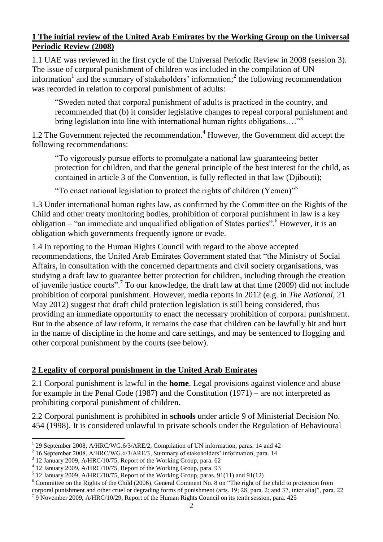#### **1 The initial review of the United Arab Emirates by the Working Group on the Universal Periodic Review (2008)**

1.1 UAE was reviewed in the first cycle of the Universal Periodic Review in 2008 (session 3). The issue of corporal punishment of children was included in the compilation of UN information<sup>1</sup> and the summary of stakeholders' information;<sup>2</sup> the following recommendation was recorded in relation to corporal punishment of adults:

"Sweden noted that corporal punishment of adults is practiced in the country, and recommended that (b) it consider legislative changes to repeal corporal punishment and bring legislation into line with international human rights obligations...."<sup>3</sup>

1.2 The Government rejected the recommendation. <sup>4</sup> However, the Government did accept the following recommendations:

"To vigorously pursue efforts to promulgate a national law guaranteeing better protection for children, and that the general principle of the best interest for the child, as contained in article 3 of the Convention, is fully reflected in that law (Djibouti);

"To enact national legislation to protect the rights of children (Yemen)"<sup>5</sup>

1.3 Under international human rights law, as confirmed by the Committee on the Rights of the Child and other treaty monitoring bodies, prohibition of corporal punishment in law is a key obligation – "an immediate and unqualified obligation of States parties". <sup>6</sup> However, it is an obligation which governments frequently ignore or evade.

1.4 In reporting to the Human Rights Council with regard to the above accepted recommendations, the United Arab Emirates Government stated that "the Ministry of Social Affairs, in consultation with the concerned departments and civil society organisations, was studying a draft law to guarantee better protection for children, including through the creation of juvenile justice courts".<sup>7</sup> To our knowledge, the draft law at that time (2009) did not include prohibition of corporal punishment. However, media reports in 2012 (e.g. in *The National*, 21 May 2012) suggest that draft child protection legislation is still being considered, thus providing an immediate opportunity to enact the necessary prohibition of corporal punishment. But in the absence of law reform, it remains the case that children can be lawfully hit and hurt in the name of discipline in the home and care settings, and may be sentenced to flogging and other corporal punishment by the courts (see below).

### **2 Legality of corporal punishment in the United Arab Emirates**

2.1 Corporal punishment is lawful in the **home**. Legal provisions against violence and abuse – for example in the Penal Code (1987) and the Constitution (1971) – are not interpreted as prohibiting corporal punishment of children.

2.2 Corporal punishment is prohibited in **schools** under article 9 of Ministerial Decision No. 454 (1998). It is considered unlawful in private schools under the Regulation of Behavioural

 $\overline{a}$ <sup>1</sup> 29 September 2008, A/HRC/WG.6/3/ARE/2, Compilation of UN information, paras. 14 and 42

<sup>&</sup>lt;sup>2</sup> 16 September 2008, A/HRC/WG.6/3/ARE/3, Summary of stakeholders' information, para. 14

<sup>3</sup> 12 January 2009, A/HRC/10/75, Report of the Working Group, para. 62

<sup>4</sup> 12 January 2009, A/HRC/10/75, Report of the Working Group, para. 93

<sup>5</sup> 12 January 2009, A/HRC/10/75, Report of the Working Group, paras. 91(11) and 91(12)

 $6$  Committee on the Rights of the Child (2006), General Comment No. 8 on "The right of the child to protection from corporal punishment and other cruel or degrading forms of punishment (arts. 19; 28, para. 2; and 37, inter alia)", para. 22 <sup>7</sup> 9 November 2009, A/HRC/10/29, Report of the Human Rights Council on its tenth session, para. 425